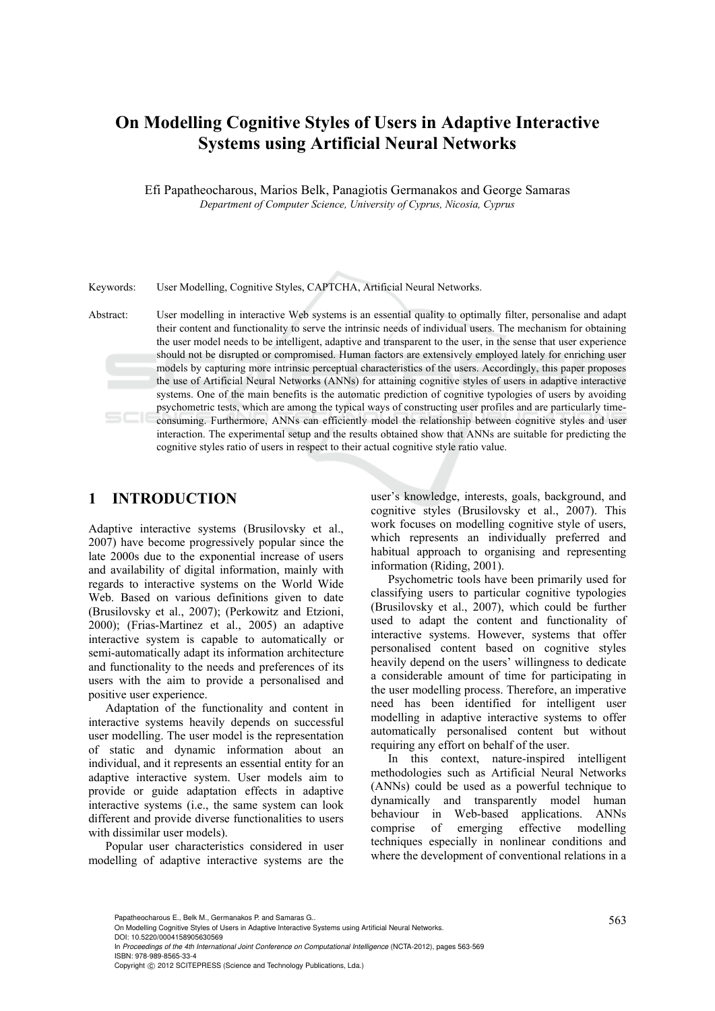# **On Modelling Cognitive Styles of Users in Adaptive Interactive Systems using Artificial Neural Networks**

Efi Papatheocharous, Marios Belk, Panagiotis Germanakos and George Samaras *Department of Computer Science, University of Cyprus, Nicosia, Cyprus* 

Keywords: User Modelling, Cognitive Styles, CAPTCHA, Artificial Neural Networks.

Abstract: User modelling in interactive Web systems is an essential quality to optimally filter, personalise and adapt their content and functionality to serve the intrinsic needs of individual users. The mechanism for obtaining the user model needs to be intelligent, adaptive and transparent to the user, in the sense that user experience should not be disrupted or compromised. Human factors are extensively employed lately for enriching user models by capturing more intrinsic perceptual characteristics of the users. Accordingly, this paper proposes the use of Artificial Neural Networks (ANNs) for attaining cognitive styles of users in adaptive interactive systems. One of the main benefits is the automatic prediction of cognitive typologies of users by avoiding psychometric tests, which are among the typical ways of constructing user profiles and are particularly timeconsuming. Furthermore, ANNs can efficiently model the relationship between cognitive styles and user interaction. The experimental setup and the results obtained show that ANNs are suitable for predicting the cognitive styles ratio of users in respect to their actual cognitive style ratio value.

## **1 INTRODUCTION**

Adaptive interactive systems (Brusilovsky et al., 2007) have become progressively popular since the late 2000s due to the exponential increase of users and availability of digital information, mainly with regards to interactive systems on the World Wide Web. Based on various definitions given to date (Brusilovsky et al., 2007); (Perkowitz and Etzioni, 2000); (Frias-Martinez et al., 2005) an adaptive interactive system is capable to automatically or semi-automatically adapt its information architecture and functionality to the needs and preferences of its users with the aim to provide a personalised and positive user experience.

Adaptation of the functionality and content in interactive systems heavily depends on successful user modelling. The user model is the representation of static and dynamic information about an individual, and it represents an essential entity for an adaptive interactive system. User models aim to provide or guide adaptation effects in adaptive interactive systems (i.e., the same system can look different and provide diverse functionalities to users with dissimilar user models).

Popular user characteristics considered in user modelling of adaptive interactive systems are the

user's knowledge, interests, goals, background, and cognitive styles (Brusilovsky et al., 2007). This work focuses on modelling cognitive style of users, which represents an individually preferred and habitual approach to organising and representing information (Riding, 2001).

Psychometric tools have been primarily used for classifying users to particular cognitive typologies (Brusilovsky et al., 2007), which could be further used to adapt the content and functionality of interactive systems. However, systems that offer personalised content based on cognitive styles heavily depend on the users' willingness to dedicate a considerable amount of time for participating in the user modelling process. Therefore, an imperative need has been identified for intelligent user modelling in adaptive interactive systems to offer automatically personalised content but without requiring any effort on behalf of the user.

In this context, nature-inspired intelligent methodologies such as Artificial Neural Networks (ANNs) could be used as a powerful technique to dynamically and transparently model human behaviour in Web-based applications. ANNs comprise of emerging effective modelling techniques especially in nonlinear conditions and where the development of conventional relations in a

Papatheocharous E., Belk M., Germanakos P. and Samaras G..<br>On Modelling Cognitive Styles of Users in Adaptive Interactive Systems using Artificial Neural Networks. DOI: 10.5220/0004158905630569

In *Proceedings of the 4th International Joint Conference on Computational Intelligence* (NCTA-2012), pages 563-569 ISBN: 978-989-8565-33-4

Copyright © 2012 SCITEPRESS (Science and Technology Publications, Lda.)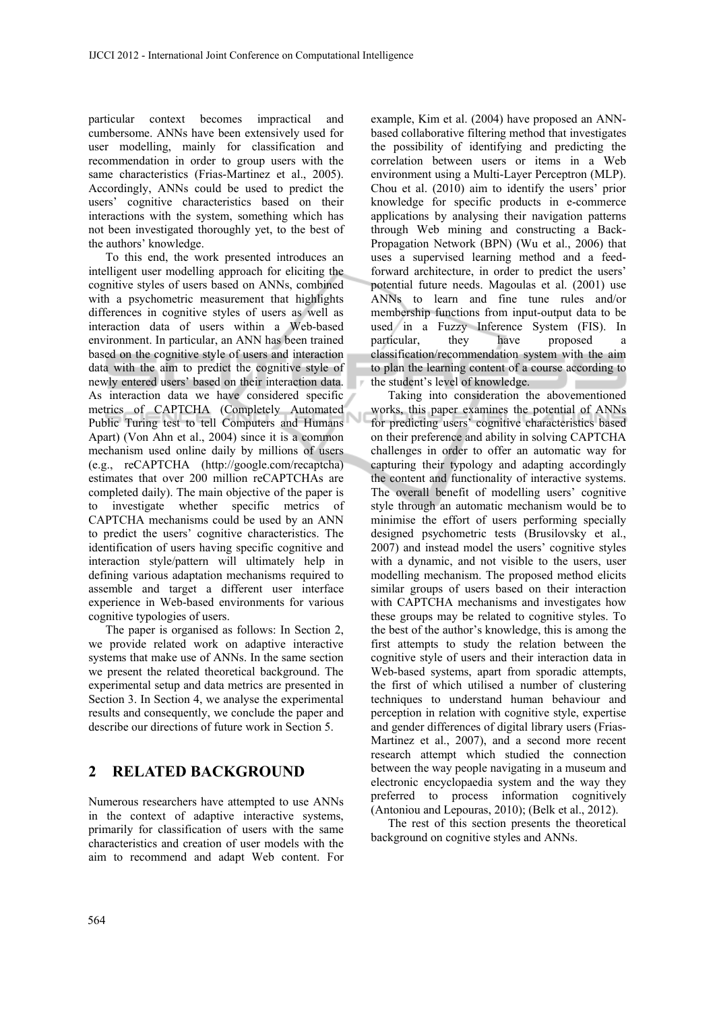particular context becomes impractical and cumbersome. ANNs have been extensively used for user modelling, mainly for classification and recommendation in order to group users with the same characteristics (Frias-Martinez et al., 2005). Accordingly, ANNs could be used to predict the users' cognitive characteristics based on their interactions with the system, something which has not been investigated thoroughly yet, to the best of the authors' knowledge.

To this end, the work presented introduces an intelligent user modelling approach for eliciting the cognitive styles of users based on ΑΝΝs, combined with a psychometric measurement that highlights differences in cognitive styles of users as well as interaction data of users within a Web-based environment. In particular, an ANN has been trained based on the cognitive style of users and interaction data with the aim to predict the cognitive style of newly entered users' based on their interaction data. As interaction data we have considered specific metrics of CAPTCHA (Completely Automated Public Turing test to tell Computers and Humans Apart) (Von Ahn et al., 2004) since it is a common mechanism used online daily by millions of users (e.g., reCAPTCHA (http://google.com/recaptcha) estimates that over 200 million reCAPTCHAs are completed daily). The main objective of the paper is to investigate whether specific metrics of CAPTCHA mechanisms could be used by an ANN to predict the users' cognitive characteristics. The identification of users having specific cognitive and interaction style/pattern will ultimately help in defining various adaptation mechanisms required to assemble and target a different user interface experience in Web-based environments for various cognitive typologies of users.

The paper is organised as follows: In Section 2, we provide related work on adaptive interactive systems that make use of ANNs. In the same section we present the related theoretical background. The experimental setup and data metrics are presented in Section 3. In Section 4, we analyse the experimental results and consequently, we conclude the paper and describe our directions of future work in Section 5.

# **2 RELATED BACKGROUND**

Numerous researchers have attempted to use ANNs in the context of adaptive interactive systems, primarily for classification of users with the same characteristics and creation of user models with the aim to recommend and adapt Web content. For

example, Kim et al. (2004) have proposed an ANNbased collaborative filtering method that investigates the possibility of identifying and predicting the correlation between users or items in a Web environment using a Multi-Layer Perceptron (MLP). Chou et al. (2010) aim to identify the users' prior knowledge for specific products in e-commerce applications by analysing their navigation patterns through Web mining and constructing a Back-Propagation Network (BPN) (Wu et al., 2006) that uses a supervised learning method and a feedforward architecture, in order to predict the users' potential future needs. Magoulas et al. (2001) use ANNs to learn and fine tune rules and/or membership functions from input-output data to be used in a Fuzzy Inference System (FIS). In particular, they have proposed classification/recommendation system with the aim to plan the learning content of a course according to the student's level of knowledge.

Taking into consideration the abovementioned works, this paper examines the potential of ANNs for predicting users' cognitive characteristics based on their preference and ability in solving CAPTCHA challenges in order to offer an automatic way for capturing their typology and adapting accordingly the content and functionality of interactive systems. The overall benefit of modelling users' cognitive style through an automatic mechanism would be to minimise the effort of users performing specially designed psychometric tests (Brusilovsky et al., 2007) and instead model the users' cognitive styles with a dynamic, and not visible to the users, user modelling mechanism. The proposed method elicits similar groups of users based on their interaction with CAPTCHA mechanisms and investigates how these groups may be related to cognitive styles. To the best of the author's knowledge, this is among the first attempts to study the relation between the cognitive style of users and their interaction data in Web-based systems, apart from sporadic attempts, the first of which utilised a number of clustering techniques to understand human behaviour and perception in relation with cognitive style, expertise and gender differences of digital library users (Frias-Martinez et al., 2007), and a second more recent research attempt which studied the connection between the way people navigating in a museum and electronic encyclopaedia system and the way they preferred to process information cognitively (Antoniou and Lepouras, 2010); (Belk et al., 2012).

The rest of this section presents the theoretical background on cognitive styles and ANNs.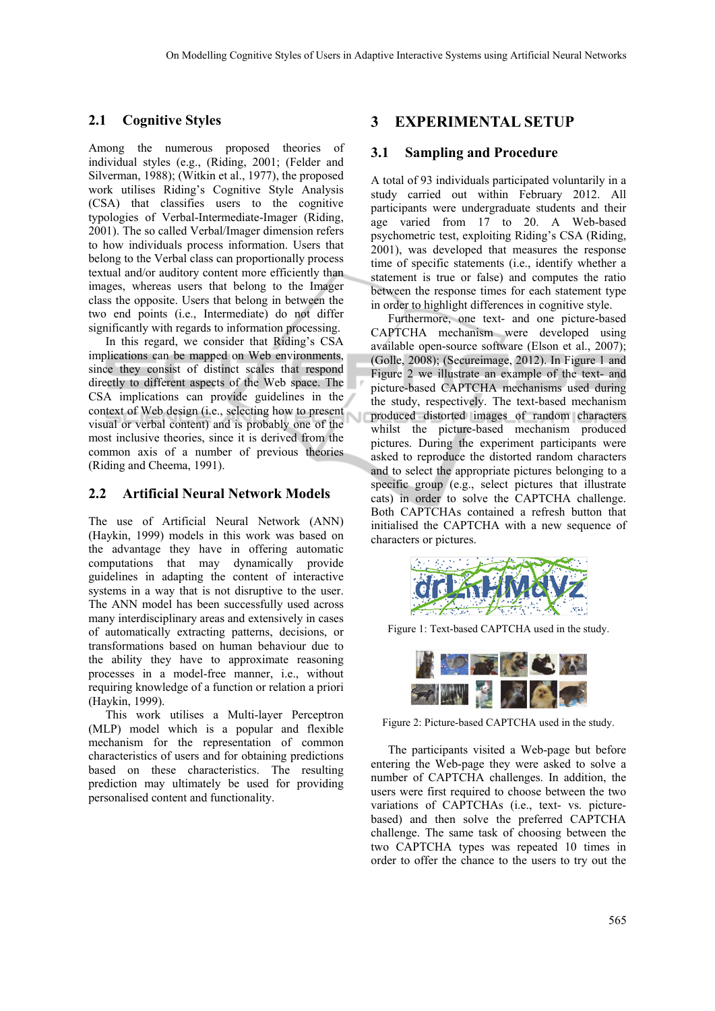## **2.1 Cognitive Styles**

Among the numerous proposed theories of individual styles (e.g., (Riding, 2001; (Felder and Silverman, 1988); (Witkin et al., 1977), the proposed work utilises Riding's Cognitive Style Analysis (CSA) that classifies users to the cognitive typologies of Verbal-Intermediate-Imager (Riding, 2001). The so called Verbal/Imager dimension refers to how individuals process information. Users that belong to the Verbal class can proportionally process textual and/or auditory content more efficiently than images, whereas users that belong to the Imager class the opposite. Users that belong in between the two end points (i.e., Intermediate) do not differ significantly with regards to information processing.

In this regard, we consider that Riding's CSA implications can be mapped on Web environments, since they consist of distinct scales that respond directly to different aspects of the Web space. The CSA implications can provide guidelines in the context of Web design (i.e., selecting how to present visual or verbal content) and is probably one of the most inclusive theories, since it is derived from the common axis of a number of previous theories (Riding and Cheema, 1991).

## **2.2 Artificial Neural Network Models**

The use of Artificial Neural Network (ANN) (Haykin, 1999) models in this work was based on the advantage they have in offering automatic computations that may dynamically provide guidelines in adapting the content of interactive systems in a way that is not disruptive to the user. The ANN model has been successfully used across many interdisciplinary areas and extensively in cases of automatically extracting patterns, decisions, or transformations based on human behaviour due to the ability they have to approximate reasoning processes in a model-free manner, i.e., without requiring knowledge of a function or relation a priori (Haykin, 1999).

This work utilises a Multi-layer Perceptron (MLP) model which is a popular and flexible mechanism for the representation of common characteristics of users and for obtaining predictions based on these characteristics. The resulting prediction may ultimately be used for providing personalised content and functionality.

# **3 EXPERIMENTAL SETUP**

#### **3.1 Sampling and Procedure**

A total of 93 individuals participated voluntarily in a study carried out within February 2012. All participants were undergraduate students and their age varied from 17 to 20. A Web-based psychometric test, exploiting Riding's CSA (Riding, 2001), was developed that measures the response time of specific statements (i.e., identify whether a statement is true or false) and computes the ratio between the response times for each statement type in order to highlight differences in cognitive style.

Furthermore, one text- and one picture-based CAPTCHA mechanism were developed using available open-source software (Elson et al., 2007); (Golle, 2008); (Secureimage, 2012). In Figure 1 and Figure 2 we illustrate an example of the text- and picture-based CAPTCHA mechanisms used during the study, respectively. The text-based mechanism produced distorted images of random characters whilst the picture-based mechanism produced pictures. During the experiment participants were asked to reproduce the distorted random characters and to select the appropriate pictures belonging to a specific group (e.g., select pictures that illustrate cats) in order to solve the CAPTCHA challenge. Both CAPTCHAs contained a refresh button that initialised the CAPTCHA with a new sequence of characters or pictures.



Figure 1: Text-based CAPTCHA used in the study.



Figure 2: Picture-based CAPTCHA used in the study.

The participants visited a Web-page but before entering the Web-page they were asked to solve a number of CAPTCHA challenges. In addition, the users were first required to choose between the two variations of CAPTCHAs (i.e., text- vs. picturebased) and then solve the preferred CAPTCHA challenge. The same task of choosing between the two CAPTCHA types was repeated 10 times in order to offer the chance to the users to try out the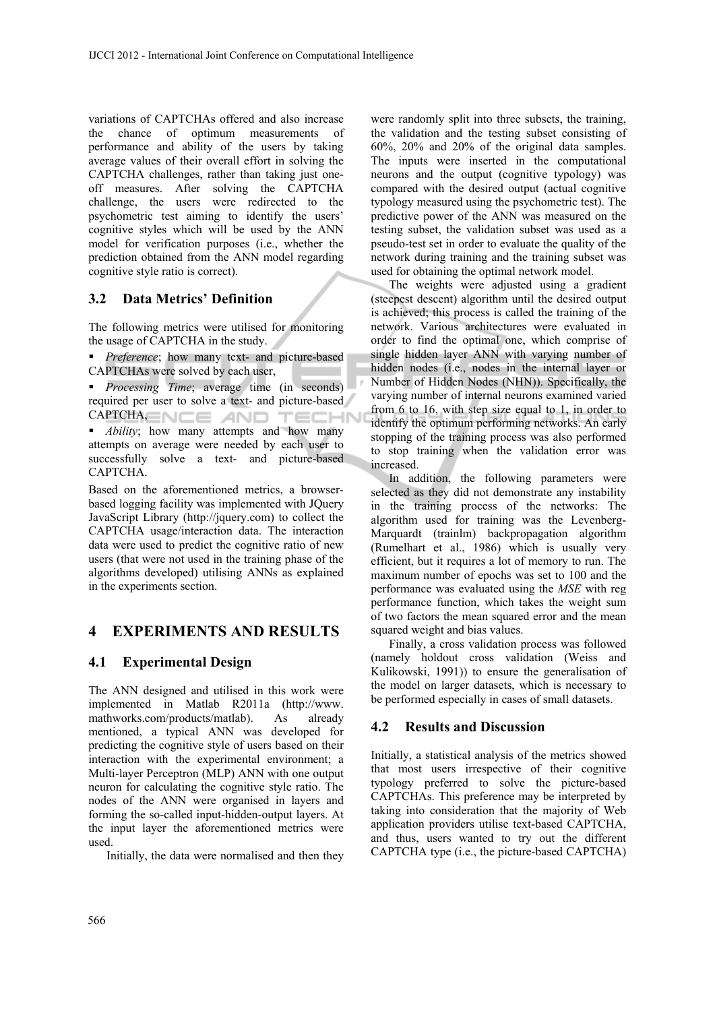variations of CAPTCHAs offered and also increase the chance of optimum measurements of performance and ability of the users by taking average values of their overall effort in solving the CAPTCHA challenges, rather than taking just oneoff measures. After solving the CAPTCHA challenge, the users were redirected to the psychometric test aiming to identify the users' cognitive styles which will be used by the ANN model for verification purposes (i.e., whether the prediction obtained from the ANN model regarding cognitive style ratio is correct).

# **3.2 Data Metrics' Definition**

The following metrics were utilised for monitoring the usage of CAPTCHA in the study.

 *Preference*; how many text- and picture-based CAPTCHAs were solved by each user,

*Processing Time*; average time (in seconds) required per user to solve a text- and picture-based  $CAPTCHA,  $\equiv$$ TECHN

*Ability*; how many attempts and how many attempts on average were needed by each user to successfully solve a text- and picture-based CAPTCHA.

Based on the aforementioned metrics, a browserbased logging facility was implemented with JQuery JavaScript Library (http://jquery.com) to collect the CAPTCHA usage/interaction data. The interaction data were used to predict the cognitive ratio of new users (that were not used in the training phase of the algorithms developed) utilising ANNs as explained in the experiments section.

# **4 EXPERIMENTS AND RESULTS**

## **4.1 Experimental Design**

The ANN designed and utilised in this work were implemented in Matlab R2011a (http://www. mathworks.com/products/matlab). As already mentioned, a typical ANN was developed for predicting the cognitive style of users based on their interaction with the experimental environment; a Multi-layer Perceptron (MLP) ANN with one output neuron for calculating the cognitive style ratio. The nodes of the ANN were organised in layers and forming the so-called input-hidden-output layers. At the input layer the aforementioned metrics were used.

Initially, the data were normalised and then they

were randomly split into three subsets, the training, the validation and the testing subset consisting of 60%, 20% and 20% of the original data samples. The inputs were inserted in the computational neurons and the output (cognitive typology) was compared with the desired output (actual cognitive typology measured using the psychometric test). The predictive power of the ANN was measured on the testing subset, the validation subset was used as a pseudo-test set in order to evaluate the quality of the network during training and the training subset was used for obtaining the optimal network model.

The weights were adjusted using a gradient (steepest descent) algorithm until the desired output is achieved; this process is called the training of the network. Various architectures were evaluated in order to find the optimal one, which comprise of single hidden layer ANN with varying number of hidden nodes (i.e., nodes in the internal layer or Number of Hidden Nodes (NHN)). Specifically, the varying number of internal neurons examined varied from 6 to 16, with step size equal to 1, in order to identify the optimum performing networks. An early stopping of the training process was also performed to stop training when the validation error was increased.

In addition, the following parameters were selected as they did not demonstrate any instability in the training process of the networks: The algorithm used for training was the Levenberg-Marquardt (trainlm) backpropagation algorithm (Rumelhart et al., 1986) which is usually very efficient, but it requires a lot of memory to run. The maximum number of epochs was set to 100 and the performance was evaluated using the *MSE* with reg performance function, which takes the weight sum of two factors the mean squared error and the mean squared weight and bias values.

Finally, a cross validation process was followed (namely holdout cross validation (Weiss and Kulikowski, 1991)) to ensure the generalisation of the model on larger datasets, which is necessary to be performed especially in cases of small datasets.

## **4.2 Results and Discussion**

Initially, a statistical analysis of the metrics showed that most users irrespective of their cognitive typology preferred to solve the picture-based CAPTCHAs. This preference may be interpreted by taking into consideration that the majority of Web application providers utilise text-based CAPTCHA, and thus, users wanted to try out the different CAPTCHA type (i.e., the picture-based CAPTCHA)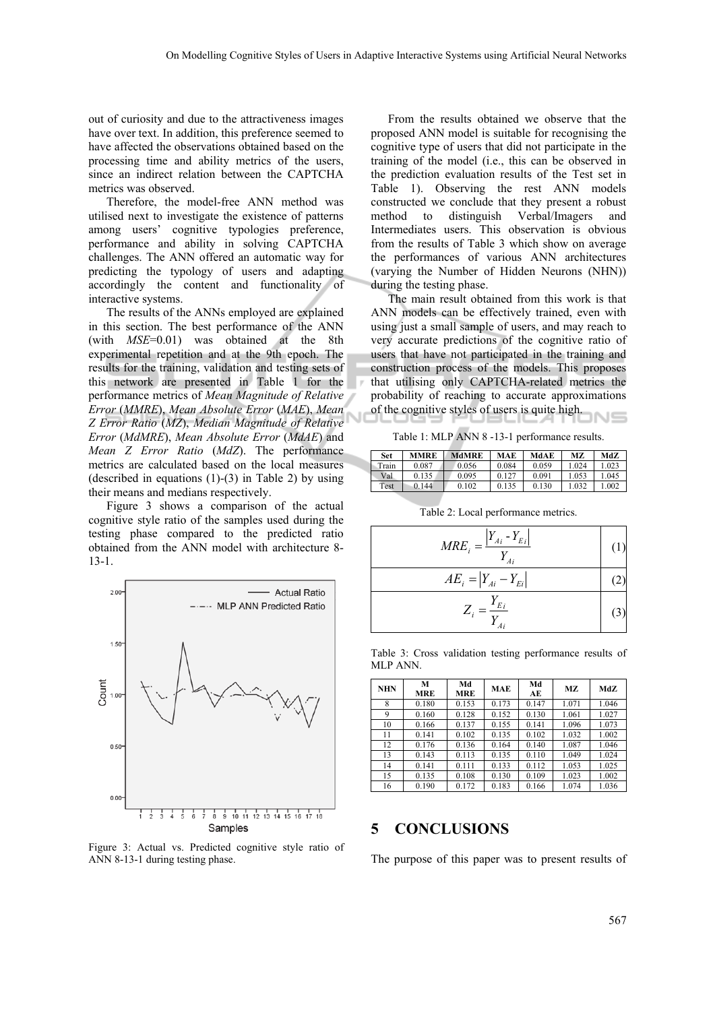out of curiosity and due to the attractiveness images have over text. In addition, this preference seemed to have affected the observations obtained based on the processing time and ability metrics of the users, since an indirect relation between the CAPTCHA metrics was observed.

Therefore, the model-free ANN method was utilised next to investigate the existence of patterns among users' cognitive typologies preference, performance and ability in solving CAPTCHA challenges. The ANN offered an automatic way for predicting the typology of users and adapting accordingly the content and functionality of interactive systems.

The results of the ANNs employed are explained in this section. The best performance of the ANN (with *MSE*=0.01) was obtained at the 8th experimental repetition and at the 9th epoch. The results for the training, validation and testing sets of this network are presented in Table 1 for the performance metrics of *Mean Magnitude of Relative Error* (*MMRE*), *Mean Absolute Error* (*MAE*), *Mean Z Error Ratio* (*MZ*), *Median Magnitude of Relative Error* (*MdMRE*), *Mean Absolute Error* (*MdAE*) and *Mean Z Error Ratio* (*MdZ*). The performance metrics are calculated based on the local measures (described in equations  $(1)-(3)$  in Table 2) by using their means and medians respectively.

Figure 3 shows a comparison of the actual cognitive style ratio of the samples used during the testing phase compared to the predicted ratio obtained from the ANN model with architecture 8- 13-1.



Figure 3: Actual vs. Predicted cognitive style ratio of ANN 8-13-1 during testing phase.

From the results obtained we observe that the proposed ANN model is suitable for recognising the cognitive type of users that did not participate in the training of the model (i.e., this can be observed in the prediction evaluation results of the Test set in Table 1). Observing the rest ANN models constructed we conclude that they present a robust method to distinguish Verbal/Imagers and Intermediates users. This observation is obvious from the results of Table 3 which show on average the performances of various ANN architectures (varying the Number of Hidden Neurons (NHN)) during the testing phase.

The main result obtained from this work is that ANN models can be effectively trained, even with using just a small sample of users, and may reach to very accurate predictions of the cognitive ratio of users that have not participated in the training and construction process of the models. This proposes that utilising only CAPTCHA-related metrics the probability of reaching to accurate approximations of the cognitive styles of users is quite high.

Table 1: MLP ANN 8 -13-1 performance results.

| Set         | <b>MMRE</b> | <b>MdMRE</b> | MAE   | MdAE  | МZ   | MdZ   |
|-------------|-------------|--------------|-------|-------|------|-------|
| Train       | 0.087       | 0.056        | 0.084 | 0.059 | .024 | 1.023 |
| Val         | 0.135       | 0.095        | 0.127 | 0.091 | .053 | 1.045 |
| <b>Test</b> | 0.144       | 0.102        | 0.135 | 0.130 | .032 | .002  |

| $\overline{MRE_i} = \frac{\left  Y_{Ai} - Y_{Ei} \right }{Y_{Ai}}$ |  |
|--------------------------------------------------------------------|--|
| $AE_i =  Y_{Ai} - Y_{Ei} $                                         |  |
| $Z_i = \frac{Y_{E_i}}{Y}$<br>Ai                                    |  |

Table 2: Local performance metrics.

| Table 3: Cross validation testing performance results of |  |  |  |
|----------------------------------------------------------|--|--|--|
| MLP ANN.                                                 |  |  |  |

| <b>NHN</b> | М<br>MRE | Md<br><b>MRE</b> | <b>MAE</b> | Md<br>AE | MZ.   | MdZ   |
|------------|----------|------------------|------------|----------|-------|-------|
| 8          | 0.180    | 0.153            | 0.173      | 0.147    | 1.071 | 1.046 |
| 9          | 0.160    | 0.128            | 0.152      | 0.130    | 1.061 | 1.027 |
| 10         | 0.166    | 0.137            | 0.155      | 0.141    | 1.096 | 1.073 |
| 11         | 0.141    | 0.102            | 0.135      | 0.102    | 1.032 | 1.002 |
| 12         | 0.176    | 0.136            | 0.164      | 0.140    | 1.087 | 1.046 |
| 13         | 0.143    | 0.113            | 0.135      | 0.110    | 1.049 | 1.024 |
| 14         | 0.141    | 0.111            | 0.133      | 0.112    | 1.053 | 1.025 |
| 15         | 0.135    | 0.108            | 0.130      | 0.109    | 1.023 | 1.002 |
| 16         | 0.190    | 0.172            | 0.183      | 0.166    | 1.074 | 1.036 |

#### **5 CONCLUSIONS**

The purpose of this paper was to present results of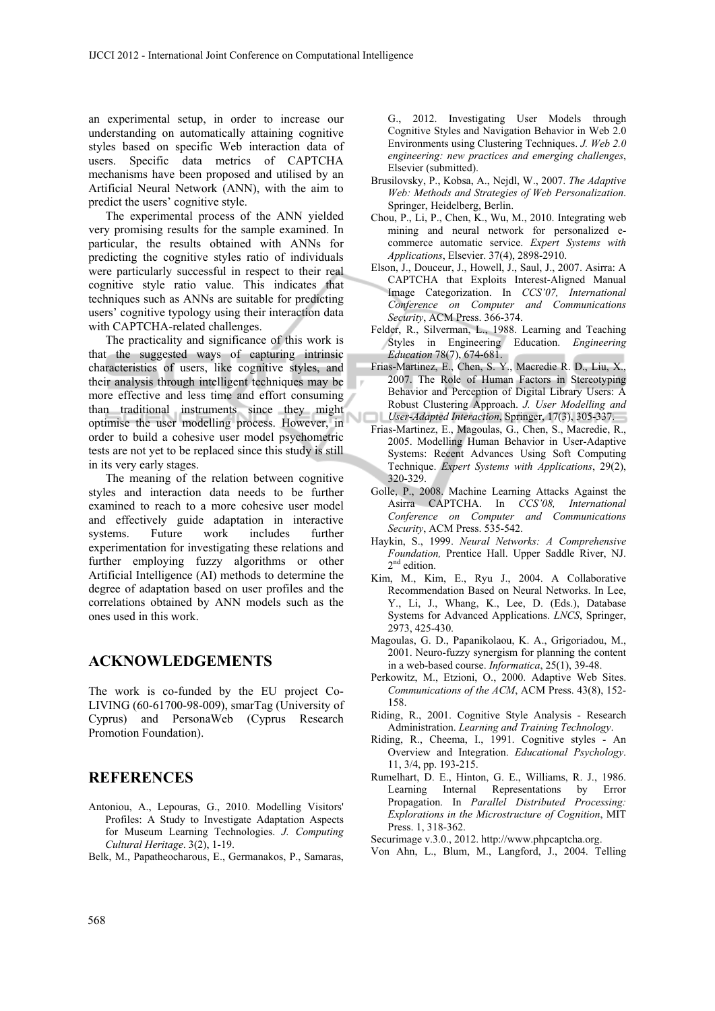an experimental setup, in order to increase our understanding on automatically attaining cognitive styles based on specific Web interaction data of users. Specific data metrics of CAPTCHA mechanisms have been proposed and utilised by an Artificial Neural Network (ANN), with the aim to predict the users' cognitive style.

The experimental process of the ANN yielded very promising results for the sample examined. In particular, the results obtained with ANNs for predicting the cognitive styles ratio of individuals were particularly successful in respect to their real cognitive style ratio value. This indicates that techniques such as ANNs are suitable for predicting users' cognitive typology using their interaction data with CAPTCHA-related challenges.

The practicality and significance of this work is that the suggested ways of capturing intrinsic characteristics of users, like cognitive styles, and their analysis through intelligent techniques may be more effective and less time and effort consuming than traditional instruments since they might optimise the user modelling process. However, in order to build a cohesive user model psychometric tests are not yet to be replaced since this study is still in its very early stages.

The meaning of the relation between cognitive styles and interaction data needs to be further examined to reach to a more cohesive user model and effectively guide adaptation in interactive systems. Future work includes further experimentation for investigating these relations and further employing fuzzy algorithms or other Artificial Intelligence (AI) methods to determine the degree of adaptation based on user profiles and the correlations obtained by ANN models such as the ones used in this work.

# **ACKNOWLEDGEMENTS**

The work is co-funded by the EU project Co-LIVING (60-61700-98-009), smarTag (University of Cyprus) and PersonaWeb (Cyprus Research Promotion Foundation).

# **REFERENCES**

- Antoniou, A., Lepouras, G., 2010. Modelling Visitors' Profiles: A Study to Investigate Adaptation Aspects for Museum Learning Technologies. *J. Computing Cultural Heritage*. 3(2), 1-19.
- Belk, M., Papatheocharous, E., Germanakos, P., Samaras,

G., 2012. Investigating User Models through Cognitive Styles and Navigation Behavior in Web 2.0 Environments using Clustering Techniques. *J. Web 2.0 engineering: new practices and emerging challenges*, Elsevier (submitted).

- Brusilovsky, P., Kobsa, A., Nejdl, W., 2007. *The Adaptive Web: Methods and Strategies of Web Personalization*. Springer, Heidelberg, Berlin.
- Chou, P., Li, P., Chen, K., Wu, M., 2010. Integrating web mining and neural network for personalized ecommerce automatic service. *Expert Systems with Applications*, Elsevier. 37(4), 2898-2910.
- Elson, J., Douceur, J., Howell, J., Saul, J., 2007. Asirra: A CAPTCHA that Exploits Interest-Aligned Manual Image Categorization. In *CCS'07, International Conference on Computer and Communications Security*, ACM Press. 366-374.
- Felder, R., Silverman, L., 1988. Learning and Teaching Styles in Engineering Education. *Engineering Education* 78(7), 674-681.
- Frias-Martinez, E., Chen, S. Y., Macredie R. D., Liu, X., 2007. The Role of Human Factors in Stereotyping Behavior and Perception of Digital Library Users: A Robust Clustering Approach. *J. User Modelling and User-Adapted Interaction*, Springer, 17(3), 305-337.
- Frias-Martinez, E., Magoulas, G., Chen, S., Macredie, R., 2005. Modelling Human Behavior in User-Adaptive Systems: Recent Advances Using Soft Computing Technique. *Expert Systems with Applications*, 29(2), 320-329.
- Golle, P., 2008. Machine Learning Attacks Against the Asirra CAPTCHA. In *CCS'08, International Conference on Computer and Communications Security*, ACM Press. 535-542.
- Haykin, S., 1999. *Neural Networks: A Comprehensive Foundation,* Prentice Hall. Upper Saddle River, NJ. 2<sup>nd</sup> edition.
- Kim, M., Kim, E., Ryu J., 2004. A Collaborative Recommendation Based on Neural Networks. In Lee, Y., Li, J., Whang, K., Lee, D. (Eds.), Database Systems for Advanced Applications. *LNCS*, Springer, 2973, 425-430.
- Magoulas, G. D., Papanikolaou, K. A., Grigoriadou, M., 2001. Neuro-fuzzy synergism for planning the content in a web-based course. *Informatica*, 25(1), 39-48.
- Perkowitz, M., Etzioni, O., 2000. Adaptive Web Sites. *Communications of the ACM*, ACM Press. 43(8), 152- 158.
- Riding, R., 2001. Cognitive Style Analysis Research Administration. *Learning and Training Technology*.
- Riding, R., Cheema, I., 1991. Cognitive styles An Overview and Integration. *Educational Psychology*. 11, 3/4, pp. 193-215.
- Rumelhart, D. E., Hinton, G. E., Williams, R. J., 1986. Learning Internal Representations by Error Propagation. In *Parallel Distributed Processing: Explorations in the Microstructure of Cognition*, MIT Press. 1, 318-362.
- Securimage v.3.0., 2012. http://www.phpcaptcha.org.
- Von Ahn, L., Blum, M., Langford, J., 2004. Telling